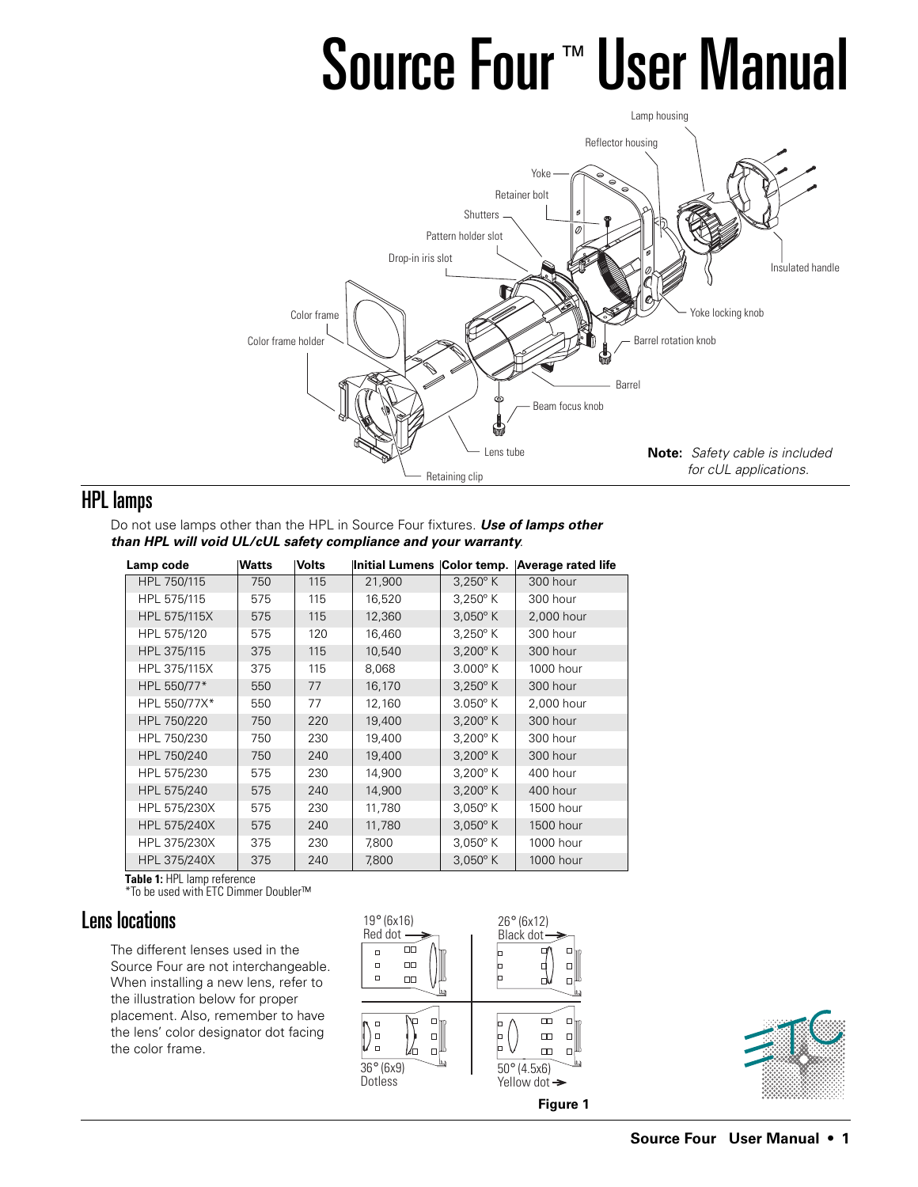# Source Four<sup>™</sup> User Manual



# HPL lamps

Do not use lamps other than the HPL in Source Four fixtures. **Use of lamps other than HPL will void UL/cUL safety compliance and your warranty**.

| Lamp code    | <b>Watts</b> | Volts | <b>Initial Lumens</b> | Color temp.       | Average rated life |
|--------------|--------------|-------|-----------------------|-------------------|--------------------|
| HPL 750/115  | 750          | 115   | 21,900                | $3,250^{\circ}$ K | 300 hour           |
| HPL 575/115  | 575          | 115   | 16,520                | $3,250^{\circ}$ K | 300 hour           |
| HPL 575/115X | 575          | 115   | 12,360                | $3,050^{\circ}$ K | 2,000 hour         |
| HPL 575/120  | 575          | 120   | 16,460                | $3,250^{\circ}$ K | 300 hour           |
| HPL 375/115  | 375          | 115   | 10,540                | $3,200^{\circ}$ K | 300 hour           |
| HPL 375/115X | 375          | 115   | 8,068                 | $3.000^{\circ}$ K | 1000 hour          |
| HPL 550/77*  | 550          | 77    | 16,170                | $3,250^{\circ}$ K | 300 hour           |
| HPL 550/77X* | 550          | 77    | 12,160                | $3.050^\circ$ K   | 2,000 hour         |
| HPL 750/220  | 750          | 220   | 19,400                | $3,200^{\circ}$ K | 300 hour           |
| HPL 750/230  | 750          | 230   | 19,400                | $3,200^{\circ}$ K | 300 hour           |
| HPL 750/240  | 750          | 240   | 19,400                | $3,200^{\circ}$ K | 300 hour           |
| HPL 575/230  | 575          | 230   | 14,900                | $3,200^{\circ}$ K | 400 hour           |
| HPL 575/240  | 575          | 240   | 14,900                | $3,200^{\circ}$ K | 400 hour           |
| HPL 575/230X | 575          | 230   | 11,780                | $3,050^{\circ}$ K | 1500 hour          |
| HPL 575/240X | 575          | 240   | 11,780                | $3,050^{\circ}$ K | 1500 hour          |
| HPL 375/230X | 375          | 230   | 7,800                 | $3,050^{\circ}$ K | 1000 hour          |
| HPL 375/240X | 375          | 240   | 7,800                 | $3,050^{\circ}$ K | 1000 hour          |

**Table 1:** HPL lamp reference \*To be used with ETC Dimmer Doubler™

# Lens locations

The different lenses used in the Source Four are not interchangeable. When installing a new lens, refer to the illustration below for proper placement. Also, remember to have the lens' color designator dot facing the color frame.



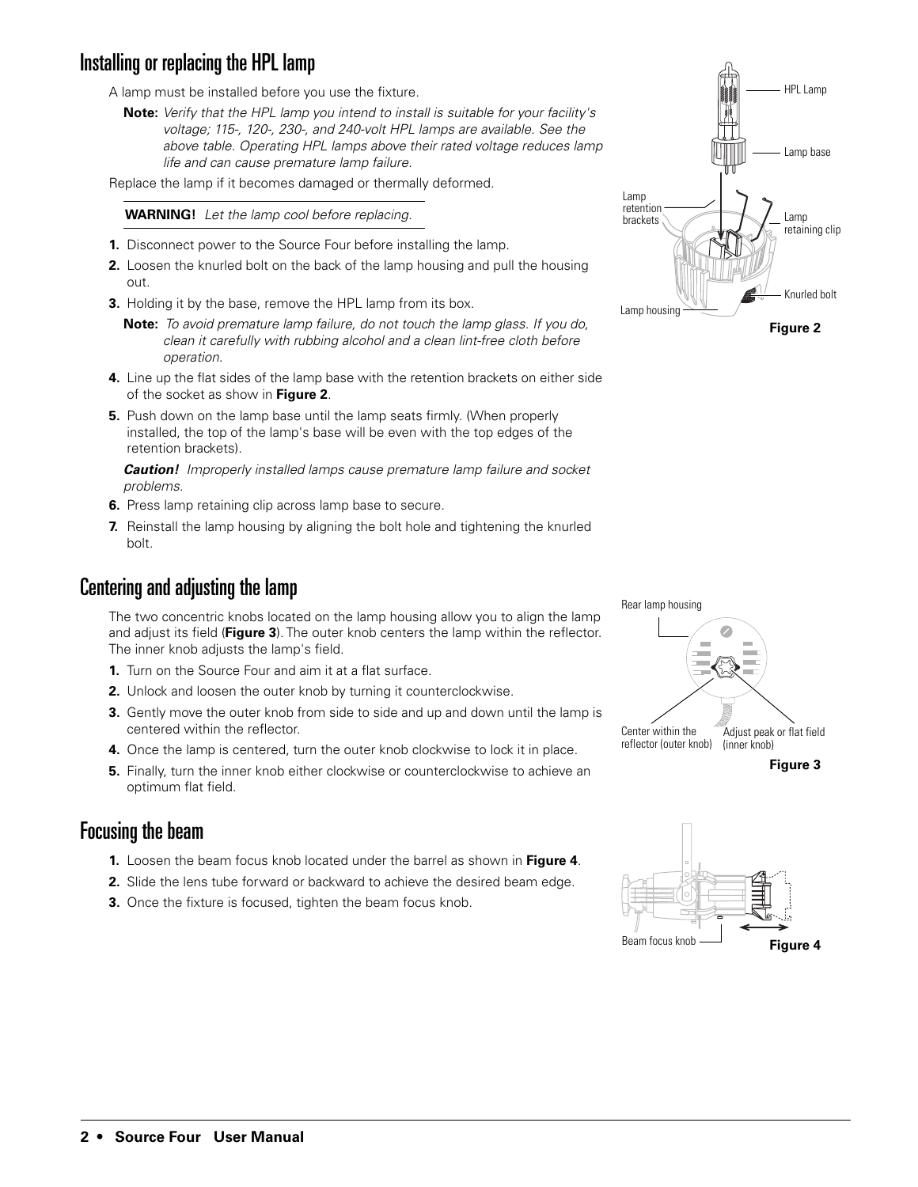# Installing or replacing the HPL lamp

A lamp must be installed before you use the fixture.

**Note:** Verify that the HPL lamp you intend to install is suitable for your facility's voltage; 115-, 120-, 230-, and 240-volt HPL lamps are available. See the above table. Operating HPL lamps above their rated voltage reduces lamp life and can cause premature lamp failure.

Replace the lamp if it becomes damaged or thermally deformed.

**WARNING!** Let the lamp cool before replacing.

- **1.** Disconnect power to the Source Four before installing the lamp.
- **2.** Loosen the knurled bolt on the back of the lamp housing and pull the housing out.
- **3.** Holding it by the base, remove the HPL lamp from its box.
	- **Note:** To avoid premature lamp failure, do not touch the lamp glass. If you do, clean it carefully with rubbing alcohol and a clean lint-free cloth before operation.
- **4.** Line up the flat sides of the lamp base with the retention brackets on either side of the socket as show in **Figure 2**.
- **5.** Push down on the lamp base until the lamp seats firmly. (When properly installed, the top of the lamp's base will be even with the top edges of the retention brackets).

**Caution!** Improperly installed lamps cause premature lamp failure and socket problems.

- **6.** Press lamp retaining clip across lamp base to secure.
- **7.** Reinstall the lamp housing by aligning the bolt hole and tightening the knurled bolt.

#### Centering and adjusting the lamp

The two concentric knobs located on the lamp housing allow you to align the lamp and adjust its field (**Figure 3**). The outer knob centers the lamp within the reflector. The inner knob adjusts the lamp's field.

- **1.** Turn on the Source Four and aim it at a flat surface.
- **2.** Unlock and loosen the outer knob by turning it counterclockwise.
- **3.** Gently move the outer knob from side to side and up and down until the lamp is centered within the reflector.
- **4.** Once the lamp is centered, turn the outer knob clockwise to lock it in place.
- **5.** Finally, turn the inner knob either clockwise or counterclockwise to achieve an optimum flat field.

#### Focusing the beam

- **1.** Loosen the beam focus knob located under the barrel as shown in **Figure 4**.
- **2.** Slide the lens tube forward or backward to achieve the desired beam edge.
- **3.** Once the fixture is focused, tighten the beam focus knob.







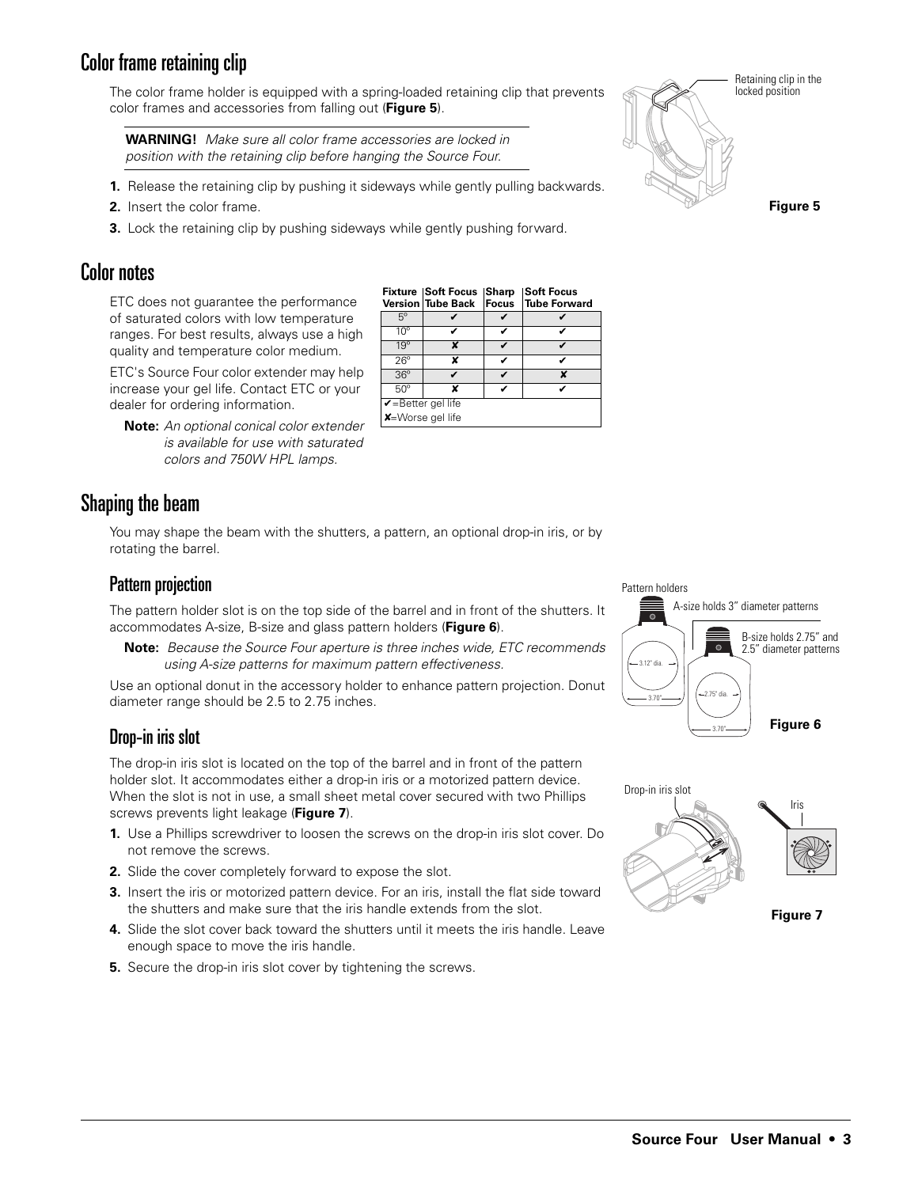# Color frame retaining clip

The color frame holder is equipped with a spring-loaded retaining clip that prevents color frames and accessories from falling out (**Figure 5**).

**WARNING!** Make sure all color frame accessories are locked in position with the retaining clip before hanging the Source Four.

- **1.** Release the retaining clip by pushing it sideways while gently pulling backwards.
- **2.** Insert the color frame.
- **3.** Lock the retaining clip by pushing sideways while gently pushing forward.

#### Color notes

ETC does not guarantee the performance of saturated colors with low temperature ranges. For best results, always use a high quality and temperature color medium.

ETC's Source Four color extender may help increase your gel life. Contact ETC or your dealer for ordering information.

**Note:** An optional conical color extender is available for use with saturated colors and 750W HPL lamps.

# Shaping the beam

You may shape the beam with the shutters, a pattern, an optional drop-in iris, or by rotating the barrel.

#### Pattern projection

The pattern holder slot is on the top side of the barrel and in front of the shutters. It accommodates A-size, B-size and glass pattern holders (**Figure 6**).

**Note:** Because the Source Four aperture is three inches wide, ETC recommends using A-size patterns for maximum pattern effectiveness.

Use an optional donut in the accessory holder to enhance pattern projection. Donut diameter range should be 2.5 to 2.75 inches.

#### Drop-in iris slot

The drop-in iris slot is located on the top of the barrel and in front of the pattern holder slot. It accommodates either a drop-in iris or a motorized pattern device. When the slot is not in use, a small sheet metal cover secured with two Phillips screws prevents light leakage (**Figure 7**).

- **1.** Use a Phillips screwdriver to loosen the screws on the drop-in iris slot cover. Do not remove the screws.
- **2.** Slide the cover completely forward to expose the slot.
- **3.** Insert the iris or motorized pattern device. For an iris, install the flat side toward the shutters and make sure that the iris handle extends from the slot.
- **4.** Slide the slot cover back toward the shutters until it meets the iris handle. Leave enough space to move the iris handle.
- **5.** Secure the drop-in iris slot cover by tightening the screws.

# **Figure 5** Retaining clip in the locked position

3.12" dia.  $3.70"$   $\longrightarrow$   $\left| \begin{array}{c} (-2.75" \text{ dia} \end{array} \right|$ A-size holds 3" diameter patterns B-size holds 2.75" and 2.5" diameter patterns

Pattern holders

**Figure 6** 



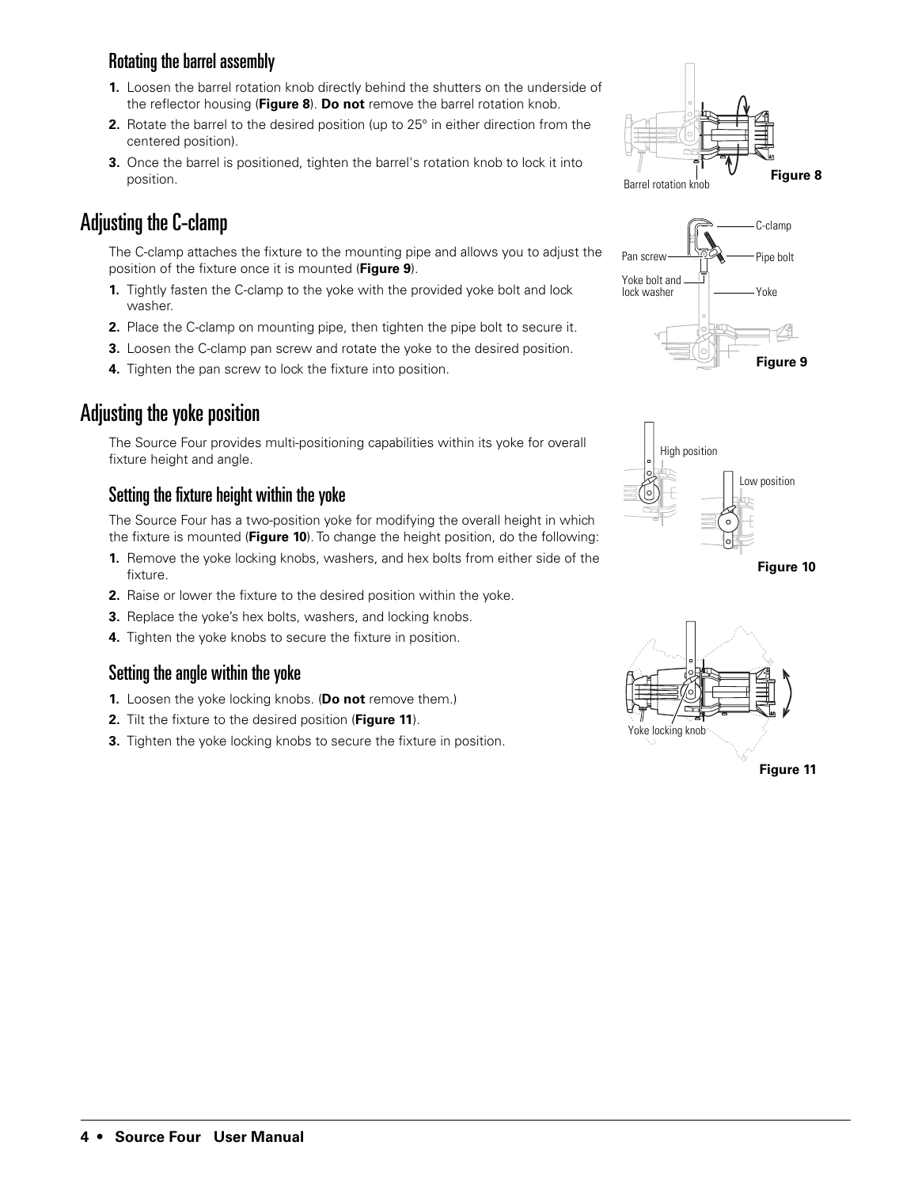#### Rotating the barrel assembly

- **1.** Loosen the barrel rotation knob directly behind the shutters on the underside of the reflector housing (**Figure 8**). **Do not** remove the barrel rotation knob.
- **2.** Rotate the barrel to the desired position (up to 25° in either direction from the centered position).
- **3.** Once the barrel is positioned, tighten the barrel's rotation knob to lock it into position.

# Adjusting the C-clamp

The C-clamp attaches the fixture to the mounting pipe and allows you to adjust the position of the fixture once it is mounted (**Figure 9**).

- **1.** Tightly fasten the C-clamp to the yoke with the provided yoke bolt and lock washer.
- **2.** Place the C-clamp on mounting pipe, then tighten the pipe bolt to secure it.
- **3.** Loosen the C-clamp pan screw and rotate the yoke to the desired position.
- **4.** Tighten the pan screw to lock the fixture into position.

# Adjusting the yoke position

The Source Four provides multi-positioning capabilities within its yoke for overall fixture height and angle.

#### Setting the fixture height within the yoke

The Source Four has a two-position yoke for modifying the overall height in which the fixture is mounted (**Figure 10**). To change the height position, do the following:

- **1.** Remove the yoke locking knobs, washers, and hex bolts from either side of the fixture.
- **2.** Raise or lower the fixture to the desired position within the yoke.
- **3.** Replace the yoke's hex bolts, washers, and locking knobs.
- **4.** Tighten the yoke knobs to secure the fixture in position.

#### Setting the angle within the yoke

- **1.** Loosen the yoke locking knobs. (**Do not** remove them.)
- **2.** Tilt the fixture to the desired position (**Figure 11**).
- **3.** Tighten the yoke locking knobs to secure the fixture in position.











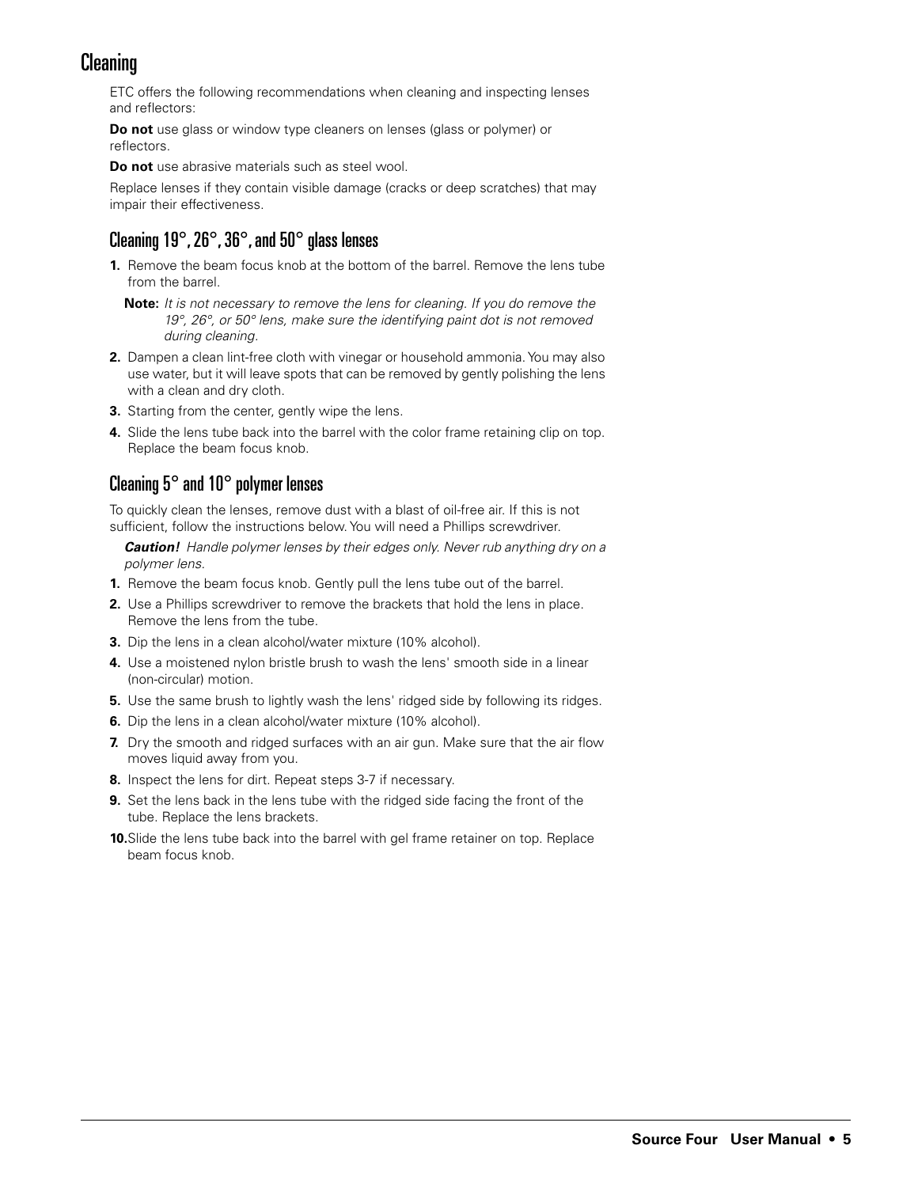# Cleaning

ETC offers the following recommendations when cleaning and inspecting lenses and reflectors:

**Do not** use glass or window type cleaners on lenses (glass or polymer) or reflectors.

**Do not** use abrasive materials such as steel wool.

Replace lenses if they contain visible damage (cracks or deep scratches) that may impair their effectiveness.

### Cleaning 19°, 26°, 36°, and 50° glass lenses

- **1.** Remove the beam focus knob at the bottom of the barrel. Remove the lens tube from the barrel.
	- **Note:** It is not necessary to remove the lens for cleaning. If you do remove the 19°, 26°, or 50° lens, make sure the identifying paint dot is not removed during cleaning.
- **2.** Dampen a clean lint-free cloth with vinegar or household ammonia. You may also use water, but it will leave spots that can be removed by gently polishing the lens with a clean and dry cloth.
- **3.** Starting from the center, gently wipe the lens.
- **4.** Slide the lens tube back into the barrel with the color frame retaining clip on top. Replace the beam focus knob.

#### Cleaning 5° and 10° polymer lenses

To quickly clean the lenses, remove dust with a blast of oil-free air. If this is not sufficient, follow the instructions below. You will need a Phillips screwdriver.

**Caution!** Handle polymer lenses by their edges only. Never rub anything dry on a polymer lens.

- **1.** Remove the beam focus knob. Gently pull the lens tube out of the barrel.
- **2.** Use a Phillips screwdriver to remove the brackets that hold the lens in place. Remove the lens from the tube.
- **3.** Dip the lens in a clean alcohol/water mixture (10% alcohol).
- **4.** Use a moistened nylon bristle brush to wash the lens' smooth side in a linear (non-circular) motion.
- **5.** Use the same brush to lightly wash the lens' ridged side by following its ridges.
- **6.** Dip the lens in a clean alcohol/water mixture (10% alcohol).
- **7.** Dry the smooth and ridged surfaces with an air gun. Make sure that the air flow moves liquid away from you.
- **8.** Inspect the lens for dirt. Repeat steps 3-7 if necessary.
- **9.** Set the lens back in the lens tube with the ridged side facing the front of the tube. Replace the lens brackets.
- **10.**Slide the lens tube back into the barrel with gel frame retainer on top. Replace beam focus knob.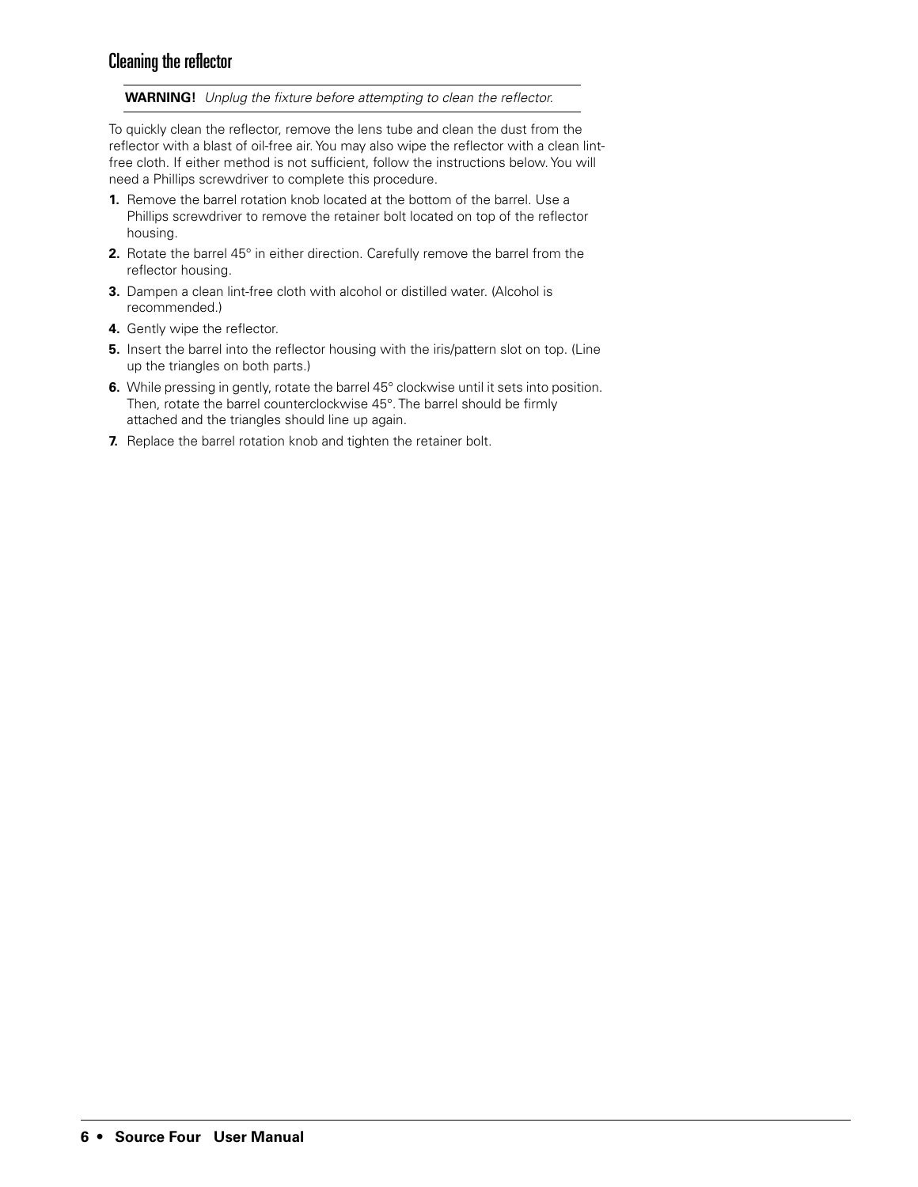#### Cleaning the reflector

**WARNING!** Unplug the fixture before attempting to clean the reflector.

To quickly clean the reflector, remove the lens tube and clean the dust from the reflector with a blast of oil-free air. You may also wipe the reflector with a clean lintfree cloth. If either method is not sufficient, follow the instructions below. You will need a Phillips screwdriver to complete this procedure.

- **1.** Remove the barrel rotation knob located at the bottom of the barrel. Use a Phillips screwdriver to remove the retainer bolt located on top of the reflector housing.
- **2.** Rotate the barrel 45° in either direction. Carefully remove the barrel from the reflector housing.
- **3.** Dampen a clean lint-free cloth with alcohol or distilled water. (Alcohol is recommended.)
- **4.** Gently wipe the reflector.
- **5.** Insert the barrel into the reflector housing with the iris/pattern slot on top. (Line up the triangles on both parts.)
- **6.** While pressing in gently, rotate the barrel 45° clockwise until it sets into position. Then, rotate the barrel counterclockwise 45°. The barrel should be firmly attached and the triangles should line up again.
- **7.** Replace the barrel rotation knob and tighten the retainer bolt.